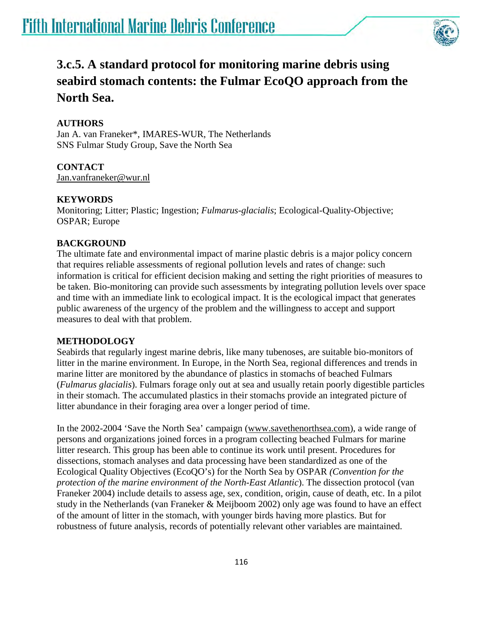

# **3.c.5. A standard protocol for monitoring marine debris using seabird stomach contents: the Fulmar EcoQO approach from the North Sea.**

## **AUTHORS**

Jan A. van Franeker\*, IMARES-WUR, The Netherlands SNS Fulmar Study Group, Save the North Sea

## **CONTACT**

[Jan.vanfraneker@wur.nl](mailto:Jan.vanfraneker@wur.nl) 

## **KEYWORDS**

Monitoring; Litter; Plastic; Ingestion; *Fulmarus-glacialis*; Ecological-Quality-Objective; OSPAR; Europe

## **BACKGROUND**

The ultimate fate and environmental impact of marine plastic debris is a major policy concern that requires reliable assessments of regional pollution levels and rates of change: such information is critical for efficient decision making and setting the right priorities of measures to be taken. Bio-monitoring can provide such assessments by integrating pollution levels over space and time with an immediate link to ecological impact. It is the ecological impact that generates public awareness of the urgency of the problem and the willingness to accept and support measures to deal with that problem.

## **METHODOLOGY**

Seabirds that regularly ingest marine debris, like many tubenoses, are suitable bio-monitors of litter in the marine environment. In Europe, in the North Sea, regional differences and trends in marine litter are monitored by the abundance of plastics in stomachs of beached Fulmars (*Fulmarus glacialis*). Fulmars forage only out at sea and usually retain poorly digestible particles in their stomach. The accumulated plastics in their stomachs provide an integrated picture of litter abundance in their foraging area over a longer period of time.

In the 2002-2004 'Save the North Sea' campaign [\(www.savethenorthsea.com\)](http://www.savethenorthsea.com/), a wide range of persons and organizations joined forces in a program collecting beached Fulmars for marine litter research. This group has been able to continue its work until present. Procedures for dissections, stomach analyses and data processing have been standardized as one of the Ecological Quality Objectives (EcoQO's) for the North Sea by OSPAR *(Convention for the protection of the marine environment of the North-East Atlantic*). The dissection protocol (van Franeker 2004) include details to assess age, sex, condition, origin, cause of death, etc. In a pilot study in the Netherlands (van Franeker & Meijboom 2002) only age was found to have an effect of the amount of litter in the stomach, with younger birds having more plastics. But for robustness of future analysis, records of potentially relevant other variables are maintained.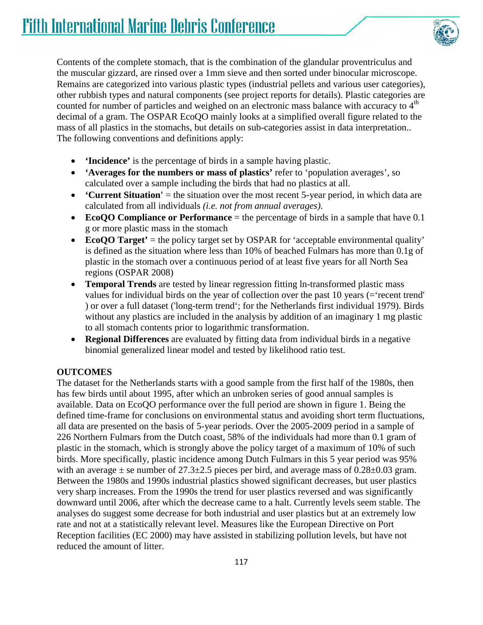

Contents of the complete stomach, that is the combination of the glandular proventriculus and the muscular gizzard, are rinsed over a 1mm sieve and then sorted under binocular microscope. Remains are categorized into various plastic types (industrial pellets and various user categories), other rubbish types and natural components (see project reports for details). Plastic categories are counted for number of particles and weighed on an electronic mass balance with accuracy to  $4<sup>th</sup>$ decimal of a gram. The OSPAR EcoQO mainly looks at a simplified overall figure related to the mass of all plastics in the stomachs, but details on sub-categories assist in data interpretation.. The following conventions and definitions apply:

- **'Incidence'** is the percentage of birds in a sample having plastic.
- **'Averages for the numbers or mass of plastics'** refer to 'population averages', so calculated over a sample including the birds that had no plastics at all.
- **'Current Situation'** = the situation over the most recent 5-year period, in which data are calculated from all individuals *(i.e. not from annual averages)*.
- **EcoQO Compliance or Performance** = the percentage of birds in a sample that have 0.1 g or more plastic mass in the stomach
- **EcoQO Target'** = the policy target set by OSPAR for 'acceptable environmental quality' is defined as the situation where less than 10% of beached Fulmars has more than 0.1g of plastic in the stomach over a continuous period of at least five years for all North Sea regions (OSPAR 2008)
- **Temporal Trends** are tested by linear regression fitting ln-transformed plastic mass values for individual birds on the year of collection over the past 10 years (='recent trend' ) or over a full dataset ('long-term trend'; for the Netherlands first individual 1979). Birds without any plastics are included in the analysis by addition of an imaginary 1 mg plastic to all stomach contents prior to logarithmic transformation.
- **Regional Differences** are evaluated by fitting data from individual birds in a negative binomial generalized linear model and tested by likelihood ratio test.

#### **OUTCOMES**

The dataset for the Netherlands starts with a good sample from the first half of the 1980s, then has few birds until about 1995, after which an unbroken series of good annual samples is available. Data on EcoQO performance over the full period are shown in figure 1. Being the defined time-frame for conclusions on environmental status and avoiding short term fluctuations, all data are presented on the basis of 5-year periods. Over the 2005-2009 period in a sample of 226 Northern Fulmars from the Dutch coast, 58% of the individuals had more than 0.1 gram of plastic in the stomach, which is strongly above the policy target of a maximum of 10% of such birds. More specifically, plastic incidence among Dutch Fulmars in this 5 year period was 95% with an average  $\pm$  se number of 27.3 $\pm$ 2.5 pieces per bird, and average mass of 0.28 $\pm$ 0.03 gram. Between the 1980s and 1990s industrial plastics showed significant decreases, but user plastics very sharp increases. From the 1990s the trend for user plastics reversed and was significantly downward until 2006, after which the decrease came to a halt. Currently levels seem stable. The analyses do suggest some decrease for both industrial and user plastics but at an extremely low rate and not at a statistically relevant level. Measures like the European Directive on Port Reception facilities (EC 2000) may have assisted in stabilizing pollution levels, but have not reduced the amount of litter.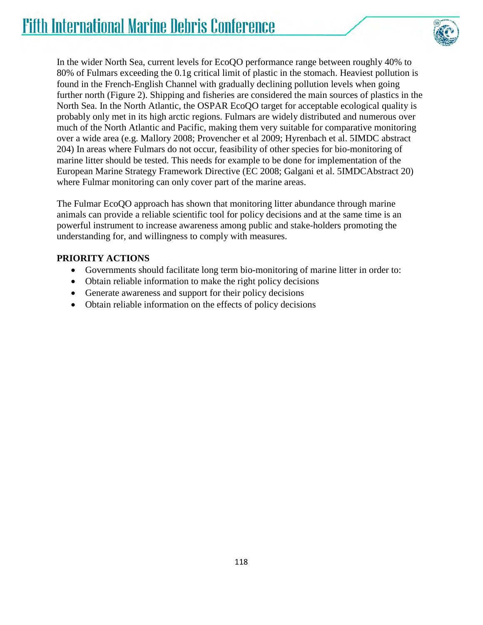

In the wider North Sea, current levels for EcoQO performance range between roughly 40% to 80% of Fulmars exceeding the 0.1g critical limit of plastic in the stomach. Heaviest pollution is found in the French-English Channel with gradually declining pollution levels when going further north (Figure 2). Shipping and fisheries are considered the main sources of plastics in the North Sea. In the North Atlantic, the OSPAR EcoQO target for acceptable ecological quality is probably only met in its high arctic regions. Fulmars are widely distributed and numerous over much of the North Atlantic and Pacific, making them very suitable for comparative monitoring over a wide area (e.g. Mallory 2008; Provencher et al 2009; Hyrenbach et al. 5IMDC abstract 204) In areas where Fulmars do not occur, feasibility of other species for bio-monitoring of marine litter should be tested. This needs for example to be done for implementation of the European Marine Strategy Framework Directive (EC 2008; Galgani et al. 5IMDCAbstract 20) where Fulmar monitoring can only cover part of the marine areas.

The Fulmar EcoQO approach has shown that monitoring litter abundance through marine animals can provide a reliable scientific tool for policy decisions and at the same time is an powerful instrument to increase awareness among public and stake-holders promoting the understanding for, and willingness to comply with measures.

#### **PRIORITY ACTIONS**

- Governments should facilitate long term bio-monitoring of marine litter in order to:
- Obtain reliable information to make the right policy decisions
- Generate awareness and support for their policy decisions
- Obtain reliable information on the effects of policy decisions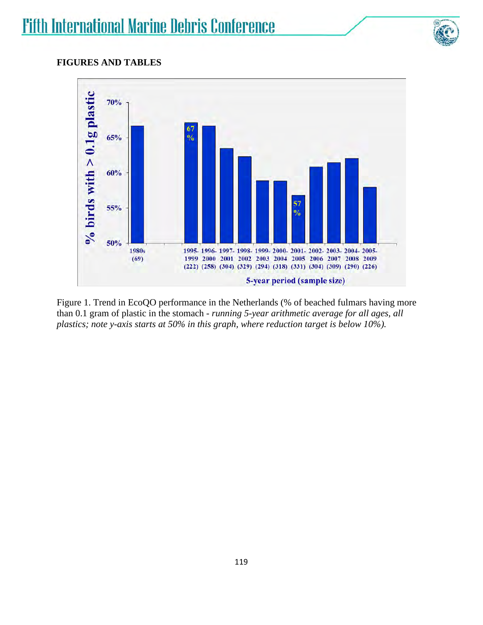

#### **FIGURES AND TABLES**



Figure 1. Trend in EcoQO performance in the Netherlands (% of beached fulmars having more than 0.1 gram of plastic in the stomach - *running 5-year arithmetic average for all ages, all plastics; note y-axis starts at 50% in this graph, where reduction target is below 10%).*